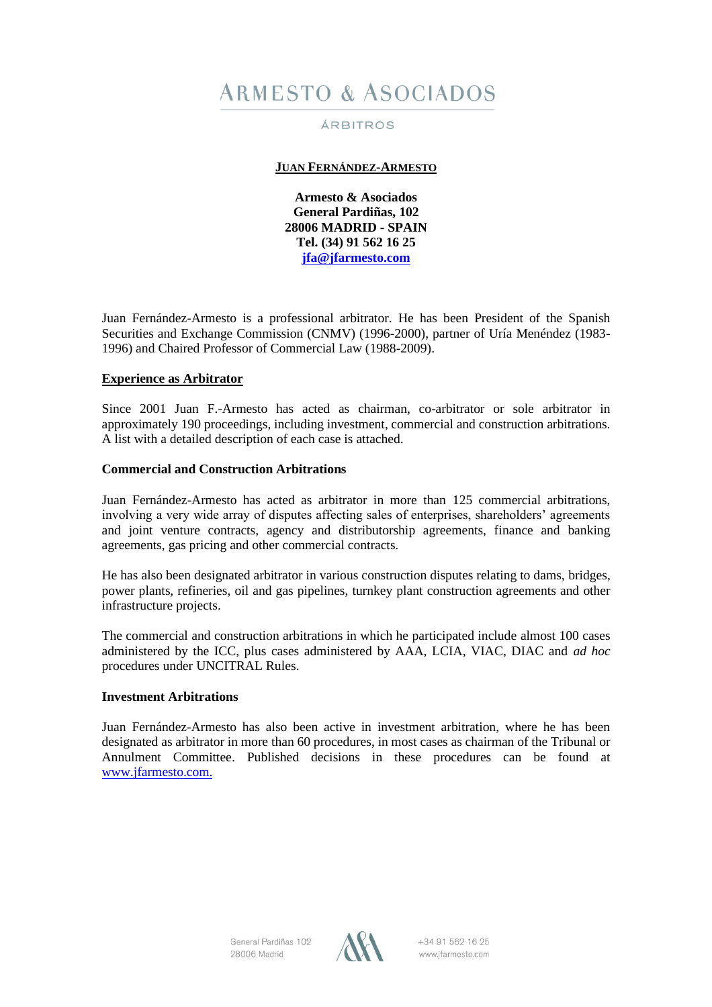# **ARMESTO & ASOCIADOS**

# ÁRBITROS

# **JUAN FERNÁNDEZ-ARMESTO**

**Armesto & Asociados General Pardiñas, 102 28006 MADRID - SPAIN Tel. (34) 91 562 16 25 [jfa@jfarmesto.com](mailto:jfa@jfarmesto.com)**

Juan Fernández-Armesto is a professional arbitrator. He has been President of the Spanish Securities and Exchange Commission (CNMV) (1996-2000), partner of Uría Menéndez (1983- 1996) and Chaired Professor of Commercial Law (1988-2009).

# **Experience as Arbitrator**

Since 2001 Juan F.-Armesto has acted as chairman, co-arbitrator or sole arbitrator in approximately 190 proceedings, including investment, commercial and construction arbitrations. A list with a detailed description of each case is attached.

# **Commercial and Construction Arbitrations**

Juan Fernández-Armesto has acted as arbitrator in more than 125 commercial arbitrations, involving a very wide array of disputes affecting sales of enterprises, shareholders' agreements and joint venture contracts, agency and distributorship agreements, finance and banking agreements, gas pricing and other commercial contracts.

He has also been designated arbitrator in various construction disputes relating to dams, bridges, power plants, refineries, oil and gas pipelines, turnkey plant construction agreements and other infrastructure projects.

The commercial and construction arbitrations in which he participated include almost 100 cases administered by the ICC, plus cases administered by AAA, LCIA, VIAC, DIAC and *ad hoc* procedures under UNCITRAL Rules.

# **Investment Arbitrations**

Juan Fernández-Armesto has also been active in investment arbitration, where he has been designated as arbitrator in more than 60 procedures, in most cases as chairman of the Tribunal or Annulment Committee. Published decisions in these procedures can be found at [www.jfarmesto.com.](http://www.jfarmesto.com/)

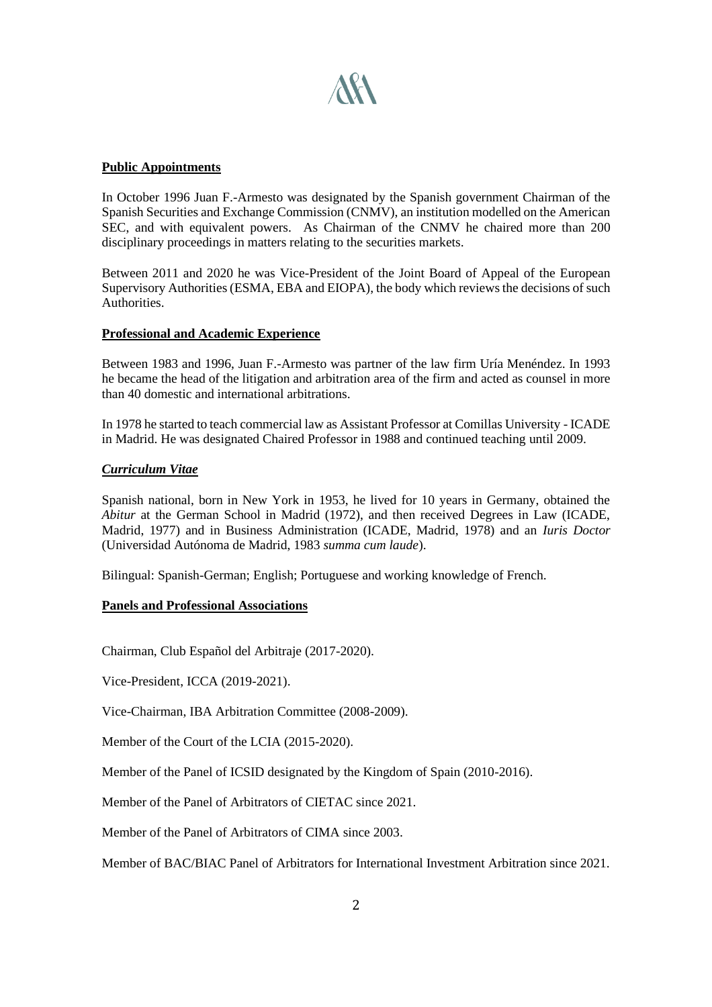

#### **Public Appointments**

In October 1996 Juan F.-Armesto was designated by the Spanish government Chairman of the Spanish Securities and Exchange Commission (CNMV), an institution modelled on the American SEC, and with equivalent powers. As Chairman of the CNMV he chaired more than 200 disciplinary proceedings in matters relating to the securities markets.

Between 2011 and 2020 he was Vice-President of the Joint Board of Appeal of the European Supervisory Authorities (ESMA, EBA and EIOPA), the body which reviews the decisions of such Authorities.

# **Professional and Academic Experience**

Between 1983 and 1996, Juan F.-Armesto was partner of the law firm Uría Menéndez. In 1993 he became the head of the litigation and arbitration area of the firm and acted as counsel in more than 40 domestic and international arbitrations.

In 1978 he started to teach commercial law as Assistant Professor at Comillas University - ICADE in Madrid. He was designated Chaired Professor in 1988 and continued teaching until 2009.

#### *Curriculum Vitae*

Spanish national, born in New York in 1953, he lived for 10 years in Germany, obtained the *Abitur* at the German School in Madrid (1972), and then received Degrees in Law (ICADE, Madrid, 1977) and in Business Administration (ICADE, Madrid, 1978) and an *Iuris Doctor* (Universidad Autónoma de Madrid, 1983 *summa cum laude*).

Bilingual: Spanish-German; English; Portuguese and working knowledge of French.

# **Panels and Professional Associations**

Chairman, Club Español del Arbitraje (2017-2020).

Vice-President, ICCA (2019-2021).

Vice-Chairman, IBA Arbitration Committee (2008-2009).

Member of the Court of the LCIA (2015-2020).

Member of the Panel of ICSID designated by the Kingdom of Spain (2010-2016).

Member of the Panel of Arbitrators of CIETAC since 2021.

Member of the Panel of Arbitrators of CIMA since 2003.

Member of BAC/BIAC Panel of Arbitrators for International Investment Arbitration since 2021.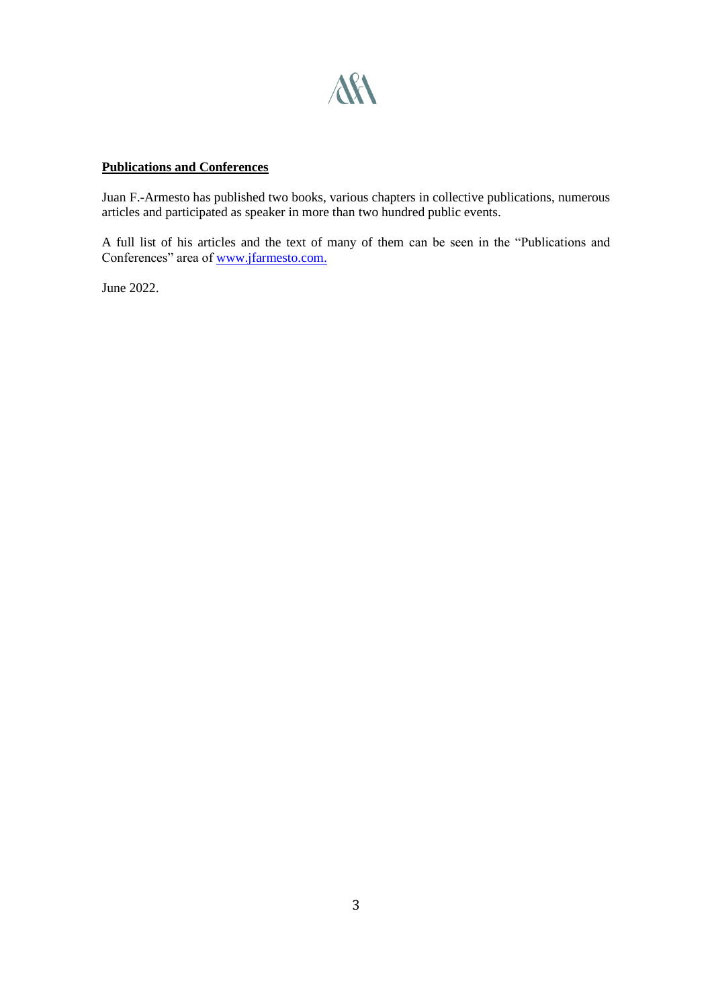

# **Publications and Conferences**

Juan F.-Armesto has published two books, various chapters in collective publications, numerous articles and participated as speaker in more than two hundred public events.

A full list of his articles and the text of many of them can be seen in the "Publications and Conferences" area o[f www.jfarmesto.com.](http://www.jfarmesto.com/)

June 2022.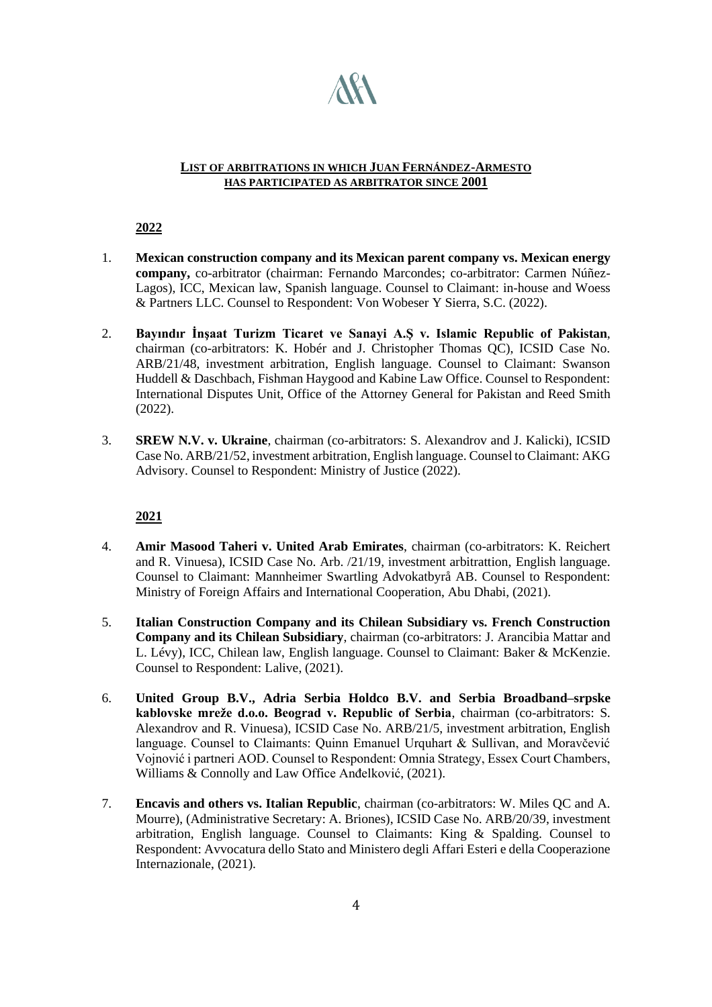

#### **LIST OF ARBITRATIONS IN WHICH JUAN FERNÁNDEZ-ARMESTO HAS PARTICIPATED AS ARBITRATOR SINCE 2001**

**2022**

- 1. **Mexican construction company and its Mexican parent company vs. Mexican energy company,** co-arbitrator (chairman: Fernando Marcondes; co-arbitrator: Carmen Núñez-Lagos), ICC, Mexican law, Spanish language. Counsel to Claimant: in-house and Woess & Partners LLC. Counsel to Respondent: Von Wobeser Y Sierra, S.C. (2022).
- 2. **Bayındır İnşaat Turizm Ticaret ve Sanayi A.Ş v. Islamic Republic of Pakistan**, chairman (co-arbitrators: K. Hobér and J. Christopher Thomas QC), ICSID Case No. ARB/21/48, investment arbitration, English language. Counsel to Claimant: Swanson Huddell & Daschbach, Fishman Haygood and Kabine Law Office. Counsel to Respondent: International Disputes Unit, Office of the Attorney General for Pakistan and Reed Smith (2022).
- 3. **SREW N.V. v. Ukraine**, chairman (co-arbitrators: S. Alexandrov and J. Kalicki), ICSID Case No. ARB/21/52, investment arbitration, English language. Counsel to Claimant: AKG Advisory. Counsel to Respondent: Ministry of Justice (2022).

- 4. **Amir Masood Taheri v. United Arab Emirates**, chairman (co-arbitrators: K. Reichert and R. Vinuesa), ICSID Case No. Arb. /21/19, investment arbitrattion, English language. Counsel to Claimant: Mannheimer Swartling Advokatbyrå AB. Counsel to Respondent: Ministry of Foreign Affairs and International Cooperation, Abu Dhabi, (2021).
- 5. **Italian Construction Company and its Chilean Subsidiary vs. French Construction Company and its Chilean Subsidiary**, chairman (co-arbitrators: J. Arancibia Mattar and L. Lévy), ICC, Chilean law, English language. Counsel to Claimant: Baker & McKenzie. Counsel to Respondent: Lalive, (2021).
- 6. **United Group B.V., Adria Serbia Holdco B.V. and Serbia Broadband–srpske kablovske mreže d.o.o. Beograd v. Republic of Serbia**, chairman (co-arbitrators: S. Alexandrov and R. Vinuesa), ICSID Case No. ARB/21/5, investment arbitration, English language. Counsel to Claimants: Quinn Emanuel Urquhart & Sullivan, and Moravčević Vojnović i partneri AOD. Counsel to Respondent: Omnia Strategy, Essex Court Chambers, Williams & Connolly and Law Office Anđelković, (2021).
- 7. **Encavis and others vs. Italian Republic**, chairman (co-arbitrators: W. Miles QC and A. Mourre), (Administrative Secretary: A. Briones), ICSID Case No. ARB/20/39, investment arbitration, English language. Counsel to Claimants: King & Spalding. Counsel to Respondent: Avvocatura dello Stato and Ministero degli Affari Esteri e della Cooperazione Internazionale, (2021).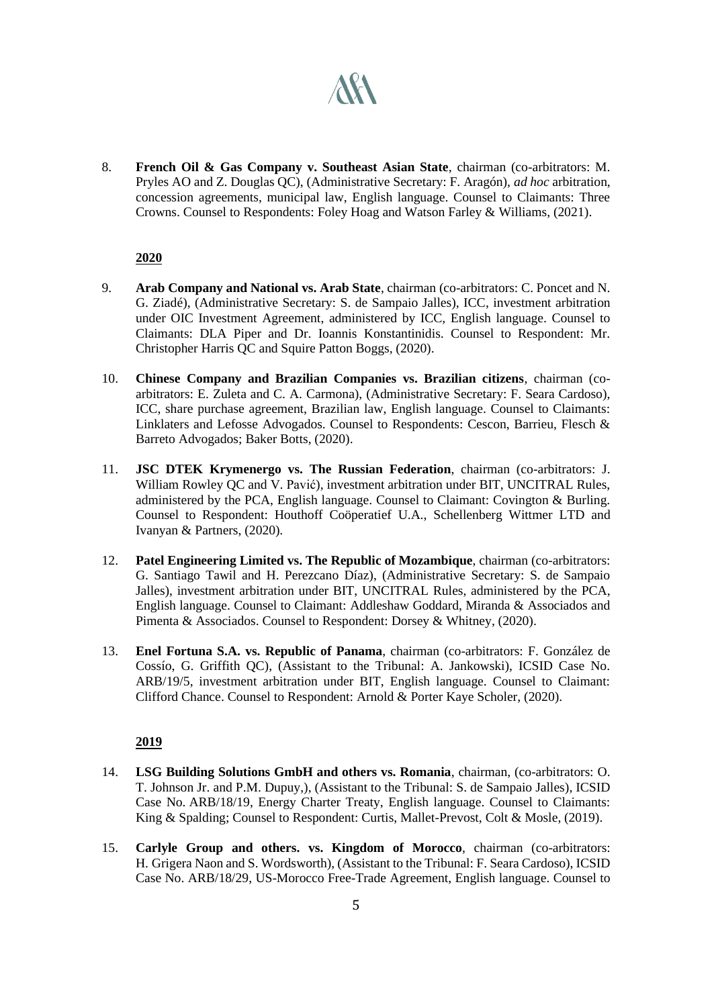# **AKA**

8. **French Oil & Gas Company v. Southeast Asian State**, chairman (co-arbitrators: M. Pryles AO and Z. Douglas QC), (Administrative Secretary: F. Aragón), *ad hoc* arbitration, concession agreements, municipal law, English language. Counsel to Claimants: Three Crowns. Counsel to Respondents: Foley Hoag and Watson Farley & Williams, (2021).

# **2020**

- 9. **Arab Company and National vs. Arab State**, chairman (co-arbitrators: C. Poncet and N. G. Ziadé), (Administrative Secretary: S. de Sampaio Jalles), ICC, investment arbitration under OIC Investment Agreement, administered by ICC, English language. Counsel to Claimants: DLA Piper and Dr. Ioannis Konstantinidis. Counsel to Respondent: Mr. Christopher Harris QC and Squire Patton Boggs, (2020).
- 10. **Chinese Company and Brazilian Companies vs. Brazilian citizens**, chairman (coarbitrators: E. Zuleta and C. A. Carmona), (Administrative Secretary: F. Seara Cardoso), ICC, share purchase agreement, Brazilian law, English language. Counsel to Claimants: Linklaters and Lefosse Advogados. Counsel to Respondents: Cescon, Barrieu, Flesch & Barreto Advogados; Baker Botts, (2020).
- 11. **JSC DTEK Krymenergo vs. The Russian Federation**, chairman (co-arbitrators: J. William Rowley QC and V. Pavić), investment arbitration under BIT, UNCITRAL Rules, administered by the PCA, English language. Counsel to Claimant: Covington & Burling. Counsel to Respondent: Houthoff Coöperatief U.A., Schellenberg Wittmer LTD and Ivanyan & Partners, (2020).
- 12. **Patel Engineering Limited vs. The Republic of Mozambique**, chairman (co-arbitrators: G. Santiago Tawil and H. Perezcano Díaz), (Administrative Secretary: S. de Sampaio Jalles), investment arbitration under BIT, UNCITRAL Rules, administered by the PCA, English language. Counsel to Claimant: Addleshaw Goddard, Miranda & Associados and Pimenta & Associados. Counsel to Respondent: Dorsey & Whitney, (2020).
- 13. **Enel Fortuna S.A. vs. Republic of Panama**, chairman (co-arbitrators: F. González de Cossío, G. Griffith QC), (Assistant to the Tribunal: A. Jankowski), ICSID Case No. ARB/19/5, investment arbitration under BIT, English language. Counsel to Claimant: Clifford Chance. Counsel to Respondent: Arnold & Porter Kaye Scholer, (2020).

- 14. **LSG Building Solutions GmbH and others vs. Romania**, chairman, (co-arbitrators: O. T. Johnson Jr. and P.M. Dupuy,), (Assistant to the Tribunal: S. de Sampaio Jalles), ICSID Case No. ARB/18/19, Energy Charter Treaty, English language. Counsel to Claimants: King & Spalding; Counsel to Respondent: Curtis, Mallet-Prevost, Colt & Mosle, (2019).
- 15. **Carlyle Group and others. vs. Kingdom of Morocco**, chairman (co-arbitrators: H. Grigera Naon and S. Wordsworth), (Assistant to the Tribunal: F. Seara Cardoso), ICSID Case No. ARB/18/29, US-Morocco Free-Trade Agreement, English language. Counsel to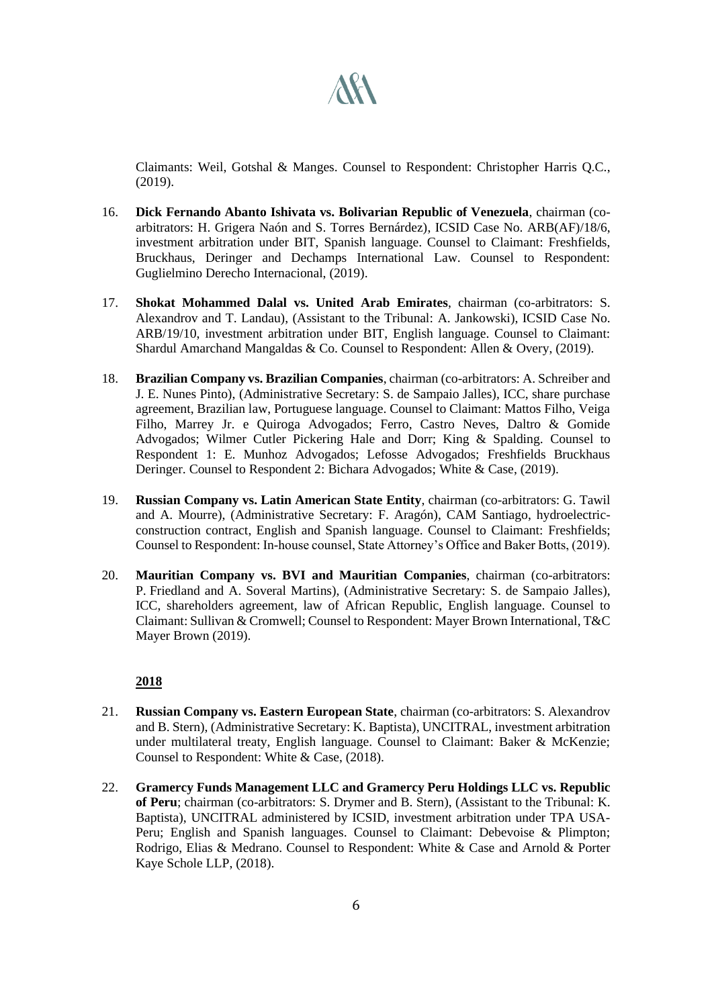

Claimants: Weil, Gotshal & Manges. Counsel to Respondent: Christopher Harris Q.C., (2019).

- 16. **Dick Fernando Abanto Ishivata vs. Bolivarian Republic of Venezuela**, chairman (coarbitrators: H. Grigera Naón and S. Torres Bernárdez), ICSID Case No. ARB(AF)/18/6, investment arbitration under BIT, Spanish language. Counsel to Claimant: Freshfields, Bruckhaus, Deringer and Dechamps International Law. Counsel to Respondent: Guglielmino Derecho Internacional, (2019).
- 17. **Shokat Mohammed Dalal vs. United Arab Emirates**, chairman (co-arbitrators: S. Alexandrov and T. Landau), (Assistant to the Tribunal: A. Jankowski), ICSID Case No. ARB/19/10, investment arbitration under BIT, English language. Counsel to Claimant: Shardul Amarchand Mangaldas & Co. Counsel to Respondent: Allen & Overy, (2019).
- 18. **Brazilian Company vs. Brazilian Companies**, chairman (co-arbitrators: A. Schreiber and J. E. Nunes Pinto), (Administrative Secretary: S. de Sampaio Jalles), ICC, share purchase agreement, Brazilian law, Portuguese language. Counsel to Claimant: Mattos Filho, Veiga Filho, Marrey Jr. e Quiroga Advogados; Ferro, Castro Neves, Daltro & Gomide Advogados; Wilmer Cutler Pickering Hale and Dorr; King & Spalding. Counsel to Respondent 1: E. Munhoz Advogados; Lefosse Advogados; Freshfields Bruckhaus Deringer. Counsel to Respondent 2: Bichara Advogados; White & Case, (2019).
- 19. **Russian Company vs. Latin American State Entity**, chairman (co-arbitrators: G. Tawil and A. Mourre), (Administrative Secretary: F. Aragón), CAM Santiago, hydroelectricconstruction contract, English and Spanish language. Counsel to Claimant: Freshfields; Counsel to Respondent: In-house counsel, State Attorney's Office and Baker Botts, (2019).
- 20. **Mauritian Company vs. BVI and Mauritian Companies**, chairman (co-arbitrators: P. Friedland and A. Soveral Martins), (Administrative Secretary: S. de Sampaio Jalles), ICC, shareholders agreement, law of African Republic, English language. Counsel to Claimant: Sullivan & Cromwell; Counsel to Respondent: Mayer Brown International, T&C Mayer Brown (2019).

- 21. **Russian Company vs. Eastern European State**, chairman (co-arbitrators: S. Alexandrov and B. Stern), (Administrative Secretary: K. Baptista), UNCITRAL, investment arbitration under multilateral treaty, English language. Counsel to Claimant: Baker & McKenzie; Counsel to Respondent: White & Case, (2018).
- 22. **Gramercy Funds Management LLC and Gramercy Peru Holdings LLC vs. Republic of Peru**; chairman (co-arbitrators: S. Drymer and B. Stern), (Assistant to the Tribunal: K. Baptista), UNCITRAL administered by ICSID, investment arbitration under TPA USA-Peru; English and Spanish languages. Counsel to Claimant: Debevoise & Plimpton; Rodrigo, Elias & Medrano. Counsel to Respondent: White & Case and Arnold & Porter Kaye Schole LLP, (2018).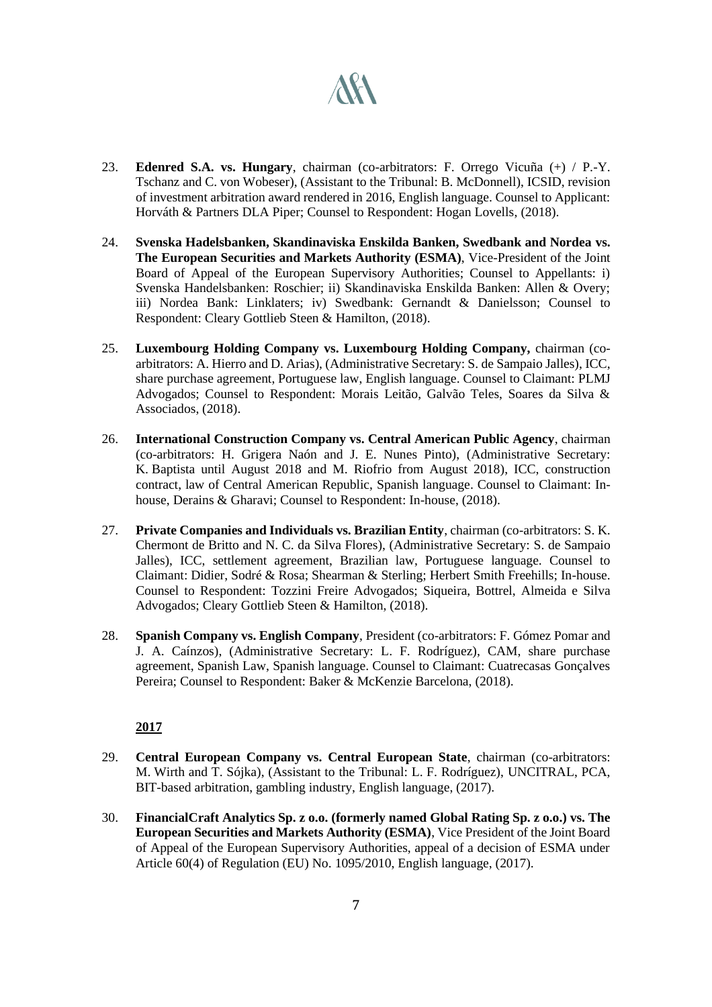# **ART**

- 23. **Edenred S.A. vs. Hungary**, chairman (co-arbitrators: F. Orrego Vicuña (+) / P.-Y. Tschanz and C. von Wobeser), (Assistant to the Tribunal: B. McDonnell), ICSID, revision of investment arbitration award rendered in 2016, English language. Counsel to Applicant: Horváth & Partners DLA Piper; Counsel to Respondent: Hogan Lovells, (2018).
- 24. **Svenska Hadelsbanken, Skandinaviska Enskilda Banken, Swedbank and Nordea vs. The European Securities and Markets Authority (ESMA)**, Vice-President of the Joint Board of Appeal of the European Supervisory Authorities; Counsel to Appellants: i) Svenska Handelsbanken: Roschier; ii) Skandinaviska Enskilda Banken: Allen & Overy; iii) Nordea Bank: Linklaters; iv) Swedbank: Gernandt & Danielsson; Counsel to Respondent: Cleary Gottlieb Steen & Hamilton, (2018).
- 25. **Luxembourg Holding Company vs. Luxembourg Holding Company,** chairman (coarbitrators: A. Hierro and D. Arias), (Administrative Secretary: S. de Sampaio Jalles), ICC, share purchase agreement, Portuguese law, English language. Counsel to Claimant: PLMJ Advogados; Counsel to Respondent: Morais Leitão, Galvão Teles, Soares da Silva & Associados, (2018).
- 26. **International Construction Company vs. Central American Public Agency**, chairman (co-arbitrators: H. Grigera Naón and J. E. Nunes Pinto), (Administrative Secretary: K. Baptista until August 2018 and M. Riofrio from August 2018), ICC, construction contract, law of Central American Republic, Spanish language. Counsel to Claimant: Inhouse, Derains & Gharavi; Counsel to Respondent: In-house, (2018).
- 27. **Private Companies and Individuals vs. Brazilian Entity**, chairman (co-arbitrators: S. K. Chermont de Britto and N. C. da Silva Flores), (Administrative Secretary: S. de Sampaio Jalles), ICC, settlement agreement, Brazilian law, Portuguese language. Counsel to Claimant: Didier, Sodré & Rosa; Shearman & Sterling; Herbert Smith Freehills; In-house. Counsel to Respondent: Tozzini Freire Advogados; Siqueira, Bottrel, Almeida e Silva Advogados; Cleary Gottlieb Steen & Hamilton, (2018).
- 28. **Spanish Company vs. English Company**, President (co-arbitrators: F. Gómez Pomar and J. A. Caínzos), (Administrative Secretary: L. F. Rodríguez), CAM, share purchase agreement, Spanish Law, Spanish language. Counsel to Claimant: Cuatrecasas Gonçalves Pereira; Counsel to Respondent: Baker & McKenzie Barcelona, (2018).

- 29. **Central European Company vs. Central European State**, chairman (co-arbitrators: M. Wirth and T. Sójka), (Assistant to the Tribunal: L. F. Rodríguez), UNCITRAL, PCA, BIT-based arbitration, gambling industry, English language, (2017).
- 30. **FinancialCraft Analytics Sp. z o.o. (formerly named Global Rating Sp. z o.o.) vs. The European Securities and Markets Authority (ESMA)**, Vice President of the Joint Board of Appeal of the European Supervisory Authorities, appeal of a decision of ESMA under Article 60(4) of Regulation (EU) No. 1095/2010, English language, (2017).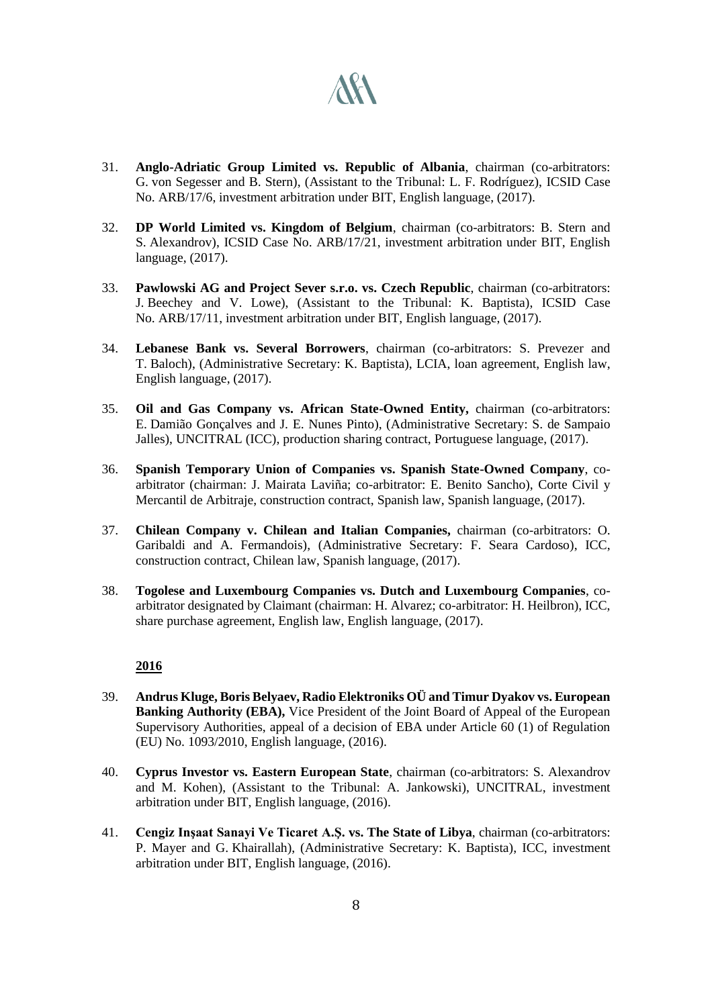

- 31. **Anglo-Adriatic Group Limited vs. Republic of Albania**, chairman (co-arbitrators: G. von Segesser and B. Stern), (Assistant to the Tribunal: L. F. Rodríguez), ICSID Case No. ARB/17/6, investment arbitration under BIT, English language, (2017).
- 32. **DP World Limited vs. Kingdom of Belgium**, chairman (co-arbitrators: B. Stern and S. Alexandrov), ICSID Case No. ARB/17/21, investment arbitration under BIT, English language, (2017).
- 33. **Pawlowski AG and Project Sever s.r.o. vs. Czech Republic**, chairman (co-arbitrators: J. Beechey and V. Lowe), (Assistant to the Tribunal: K. Baptista), ICSID Case No. ARB/17/11, investment arbitration under BIT, English language, (2017).
- 34. **Lebanese Bank vs. Several Borrowers**, chairman (co-arbitrators: S. Prevezer and T. Baloch), (Administrative Secretary: K. Baptista), LCIA, loan agreement, English law, English language, (2017).
- 35. **Oil and Gas Company vs. African State-Owned Entity,** chairman (co-arbitrators: E. Damião Gonçalves and J. E. Nunes Pinto), (Administrative Secretary: S. de Sampaio Jalles), UNCITRAL (ICC), production sharing contract, Portuguese language, (2017).
- 36. **Spanish Temporary Union of Companies vs. Spanish State-Owned Company**, coarbitrator (chairman: J. Mairata Laviña; co-arbitrator: E. Benito Sancho), Corte Civil y Mercantil de Arbitraje, construction contract, Spanish law, Spanish language, (2017).
- 37. **Chilean Company v. Chilean and Italian Companies,** chairman (co-arbitrators: O. Garibaldi and A. Fermandois), (Administrative Secretary: F. Seara Cardoso), ICC, construction contract, Chilean law, Spanish language, (2017).
- 38. **Togolese and Luxembourg Companies vs. Dutch and Luxembourg Companies**, coarbitrator designated by Claimant (chairman: H. Alvarez; co-arbitrator: H. Heilbron), ICC, share purchase agreement, English law, English language, (2017).

- 39. **Andrus Kluge, Boris Belyaev, Radio Elektroniks OÜ and Timur Dyakov vs. European Banking Authority (EBA),** Vice President of the Joint Board of Appeal of the European Supervisory Authorities, appeal of a decision of EBA under Article 60 (1) of Regulation (EU) No. 1093/2010, English language, (2016).
- 40. **Cyprus Investor vs. Eastern European State**, chairman (co-arbitrators: S. Alexandrov and M. Kohen), (Assistant to the Tribunal: A. Jankowski), UNCITRAL, investment arbitration under BIT, English language, (2016).
- 41. **Cengiz Inşaat Sanayi Ve Ticaret A.Ş. vs. The State of Libya**, chairman (co-arbitrators: P. Mayer and G. Khairallah), (Administrative Secretary: K. Baptista), ICC, investment arbitration under BIT, English language, (2016).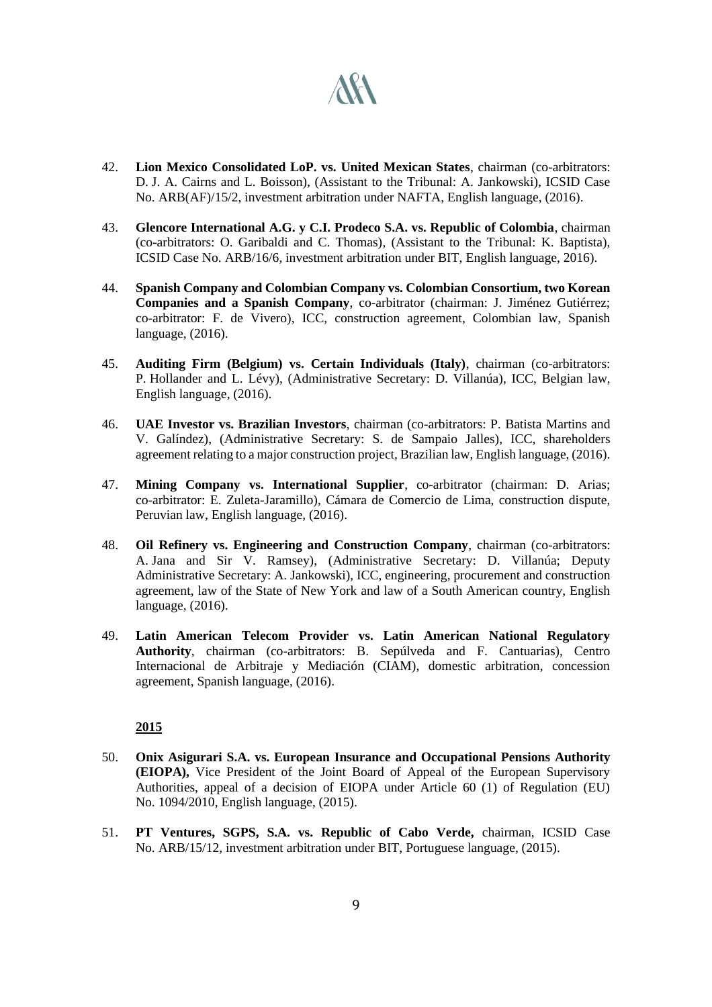

- 42. **Lion Mexico Consolidated LoP. vs. United Mexican States**, chairman (co-arbitrators: D. J. A. Cairns and L. Boisson), (Assistant to the Tribunal: A. Jankowski), ICSID Case No. ARB(AF)/15/2, investment arbitration under NAFTA, English language, (2016).
- 43. **Glencore International A.G. y C.I. Prodeco S.A. vs. Republic of Colombia**, chairman (co-arbitrators: O. Garibaldi and C. Thomas), (Assistant to the Tribunal: K. Baptista), ICSID Case No. ARB/16/6, investment arbitration under BIT, English language, 2016).
- 44. **Spanish Company and Colombian Company vs. Colombian Consortium, two Korean Companies and a Spanish Company**, co-arbitrator (chairman: J. Jiménez Gutiérrez; co-arbitrator: F. de Vivero), ICC, construction agreement, Colombian law, Spanish language, (2016).
- 45. **Auditing Firm (Belgium) vs. Certain Individuals (Italy)**, chairman (co-arbitrators: P. Hollander and L. Lévy), (Administrative Secretary: D. Villanúa), ICC, Belgian law, English language, (2016).
- 46. **UAE Investor vs. Brazilian Investors**, chairman (co-arbitrators: P. Batista Martins and V. Galíndez), (Administrative Secretary: S. de Sampaio Jalles), ICC, shareholders agreement relating to a major construction project, Brazilian law, English language, (2016).
- 47. **Mining Company vs. International Supplier**, co-arbitrator (chairman: D. Arias; co-arbitrator: E. Zuleta-Jaramillo), Cámara de Comercio de Lima, construction dispute, Peruvian law, English language, (2016).
- 48. **Oil Refinery vs. Engineering and Construction Company**, chairman (co-arbitrators: A. Jana and Sir V. Ramsey), (Administrative Secretary: D. Villanúa; Deputy Administrative Secretary: A. Jankowski), ICC, engineering, procurement and construction agreement, law of the State of New York and law of a South American country, English language, (2016).
- 49. **Latin American Telecom Provider vs. Latin American National Regulatory Authority**, chairman (co-arbitrators: B. Sepúlveda and F. Cantuarias), Centro Internacional de Arbitraje y Mediación (CIAM), domestic arbitration, concession agreement, Spanish language, (2016).

- 50. **Onix Asigurari S.A. vs. European Insurance and Occupational Pensions Authority (EIOPA),** Vice President of the Joint Board of Appeal of the European Supervisory Authorities, appeal of a decision of EIOPA under Article 60 (1) of Regulation (EU) No. 1094/2010, English language, (2015).
- 51. **PT Ventures, SGPS, S.A. vs. Republic of Cabo Verde,** chairman, ICSID Case No. ARB/15/12, investment arbitration under BIT, Portuguese language, (2015).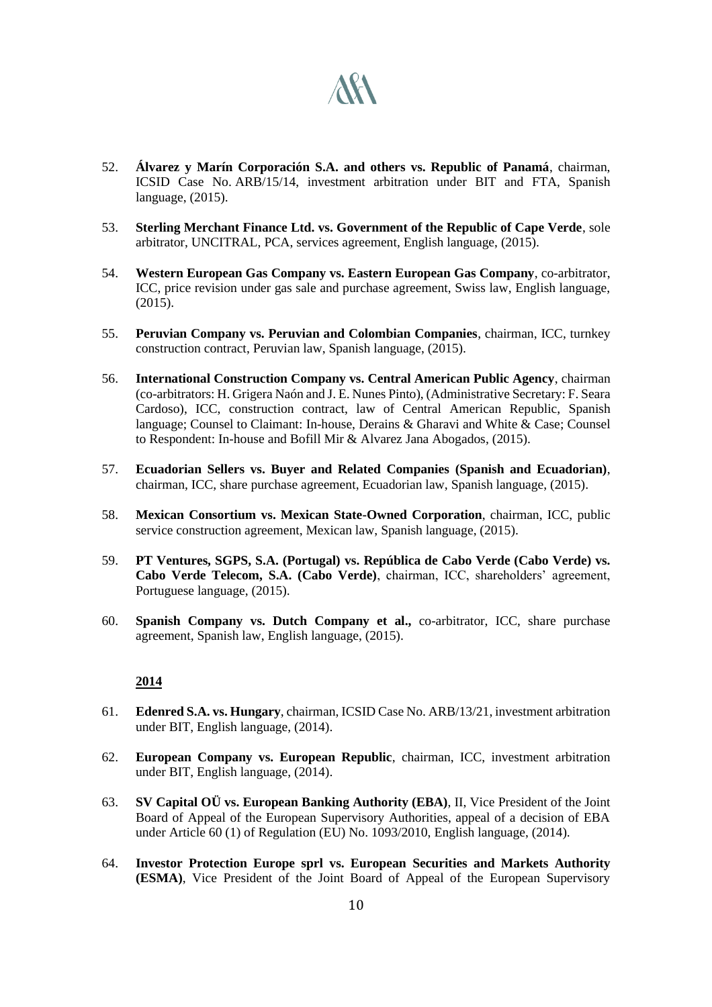

- 52. **Álvarez y Marín Corporación S.A. and others vs. Republic of Panamá**, chairman, ICSID Case No. ARB/15/14, investment arbitration under BIT and FTA, Spanish language, (2015).
- 53. **Sterling Merchant Finance Ltd. vs. Government of the Republic of Cape Verde**, sole arbitrator, UNCITRAL, PCA, services agreement, English language, (2015).
- 54. **Western European Gas Company vs. Eastern European Gas Company**, co-arbitrator, ICC, price revision under gas sale and purchase agreement, Swiss law, English language, (2015).
- 55. **Peruvian Company vs. Peruvian and Colombian Companies**, chairman, ICC, turnkey construction contract, Peruvian law, Spanish language, (2015).
- 56. **International Construction Company vs. Central American Public Agency**, chairman (co-arbitrators: H. Grigera Naón and J. E. Nunes Pinto), (Administrative Secretary: F. Seara Cardoso), ICC, construction contract, law of Central American Republic, Spanish language; Counsel to Claimant: In-house, Derains & Gharavi and White & Case; Counsel to Respondent: In-house and Bofill Mir & Alvarez Jana Abogados, (2015).
- 57. **Ecuadorian Sellers vs. Buyer and Related Companies (Spanish and Ecuadorian)**, chairman, ICC, share purchase agreement, Ecuadorian law, Spanish language, (2015).
- 58. **Mexican Consortium vs. Mexican State-Owned Corporation**, chairman, ICC, public service construction agreement, Mexican law, Spanish language, (2015).
- 59. **PT Ventures, SGPS, S.A. (Portugal) vs. República de Cabo Verde (Cabo Verde) vs. Cabo Verde Telecom, S.A. (Cabo Verde)**, chairman, ICC, shareholders' agreement, Portuguese language, (2015).
- 60. **Spanish Company vs. Dutch Company et al.,** co-arbitrator, ICC, share purchase agreement, Spanish law, English language, (2015).

- 61. **Edenred S.A. vs. Hungary**, chairman, ICSID Case No. ARB/13/21, investment arbitration under BIT, English language, (2014).
- 62. **European Company vs. European Republic**, chairman, ICC, investment arbitration under BIT, English language, (2014).
- 63. **SV Capital OÜ vs. European Banking Authority (EBA)**, II, Vice President of the Joint Board of Appeal of the European Supervisory Authorities, appeal of a decision of EBA under Article 60 (1) of Regulation (EU) No. 1093/2010, English language, (2014).
- 64. **Investor Protection Europe sprl vs. European Securities and Markets Authority (ESMA)**, Vice President of the Joint Board of Appeal of the European Supervisory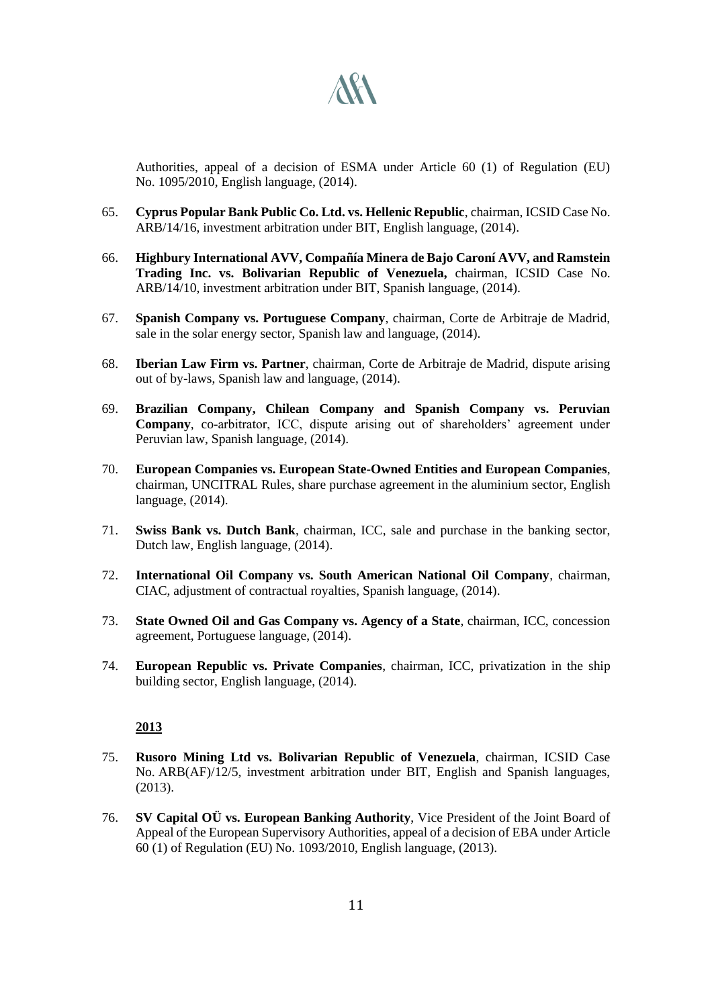

Authorities, appeal of a decision of ESMA under Article 60 (1) of Regulation (EU) No. 1095/2010, English language, (2014).

- 65. **Cyprus Popular Bank Public Co. Ltd. vs. Hellenic Republic**, chairman, ICSID Case No. ARB/14/16, investment arbitration under BIT, English language, (2014).
- 66. **Highbury International AVV, Compañía Minera de Bajo Caroní AVV, and Ramstein Trading Inc. vs. Bolivarian Republic of Venezuela,** chairman, ICSID Case No. ARB/14/10, investment arbitration under BIT, Spanish language, (2014).
- 67. **Spanish Company vs. Portuguese Company**, chairman, Corte de Arbitraje de Madrid, sale in the solar energy sector, Spanish law and language, (2014).
- 68. **Iberian Law Firm vs. Partner**, chairman, Corte de Arbitraje de Madrid, dispute arising out of by-laws, Spanish law and language, (2014).
- 69. **Brazilian Company, Chilean Company and Spanish Company vs. Peruvian Company**, co-arbitrator, ICC, dispute arising out of shareholders' agreement under Peruvian law, Spanish language, (2014).
- 70. **European Companies vs. European State-Owned Entities and European Companies**, chairman, UNCITRAL Rules, share purchase agreement in the aluminium sector, English language, (2014).
- 71. **Swiss Bank vs. Dutch Bank**, chairman, ICC, sale and purchase in the banking sector, Dutch law, English language, (2014).
- 72. **International Oil Company vs. South American National Oil Company**, chairman, CIAC, adjustment of contractual royalties, Spanish language, (2014).
- 73. **State Owned Oil and Gas Company vs. Agency of a State**, chairman, ICC, concession agreement, Portuguese language, (2014).
- 74. **European Republic vs. Private Companies**, chairman, ICC, privatization in the ship building sector, English language, (2014).

- 75. **Rusoro Mining Ltd vs. Bolivarian Republic of Venezuela**, chairman, ICSID Case No. ARB(AF)/12/5, investment arbitration under BIT, English and Spanish languages, (2013).
- 76. **SV Capital OÜ vs. European Banking Authority**, Vice President of the Joint Board of Appeal of the European Supervisory Authorities, appeal of a decision of EBA under Article 60 (1) of Regulation (EU) No. 1093/2010, English language, (2013).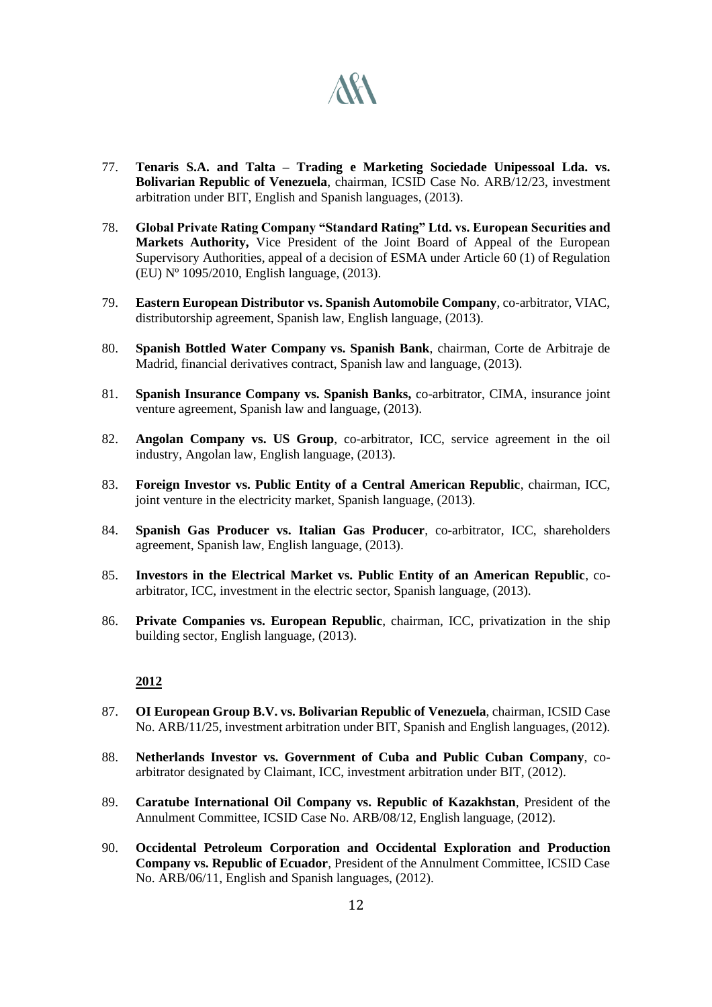

- 77. **Tenaris S.A. and Talta – Trading e Marketing Sociedade Unipessoal Lda. vs. Bolivarian Republic of Venezuela**, chairman, ICSID Case No. ARB/12/23, investment arbitration under BIT, English and Spanish languages, (2013).
- 78. **Global Private Rating Company "Standard Rating" Ltd. vs. European Securities and Markets Authority,** Vice President of the Joint Board of Appeal of the European Supervisory Authorities, appeal of a decision of ESMA under Article 60 (1) of Regulation (EU) Nº 1095/2010, English language, (2013).
- 79. **Eastern European Distributor vs. Spanish Automobile Company**, co-arbitrator, VIAC, distributorship agreement, Spanish law, English language, (2013).
- 80. **Spanish Bottled Water Company vs. Spanish Bank**, chairman, Corte de Arbitraje de Madrid, financial derivatives contract, Spanish law and language, (2013).
- 81. **Spanish Insurance Company vs. Spanish Banks,** co-arbitrator, CIMA, insurance joint venture agreement, Spanish law and language, (2013).
- 82. **Angolan Company vs. US Group**, co-arbitrator, ICC, service agreement in the oil industry, Angolan law, English language, (2013).
- 83. **Foreign Investor vs. Public Entity of a Central American Republic**, chairman, ICC, joint venture in the electricity market, Spanish language, (2013).
- 84. **Spanish Gas Producer vs. Italian Gas Producer**, co-arbitrator, ICC, shareholders agreement, Spanish law, English language, (2013).
- 85. **Investors in the Electrical Market vs. Public Entity of an American Republic**, coarbitrator, ICC, investment in the electric sector, Spanish language, (2013).
- 86. **Private Companies vs. European Republic**, chairman, ICC, privatization in the ship building sector, English language, (2013).

- 87. **OI European Group B.V. vs. Bolivarian Republic of Venezuela**, chairman, ICSID Case No. ARB/11/25, investment arbitration under BIT, Spanish and English languages, (2012).
- 88. **Netherlands Investor vs. Government of Cuba and Public Cuban Company**, coarbitrator designated by Claimant, ICC, investment arbitration under BIT, (2012).
- 89. **Caratube International Oil Company vs. Republic of Kazakhstan**, President of the Annulment Committee, ICSID Case No. ARB/08/12, English language, (2012).
- 90. **Occidental Petroleum Corporation and Occidental Exploration and Production Company vs. Republic of Ecuador**, President of the Annulment Committee, ICSID Case No. ARB/06/11, English and Spanish languages, (2012).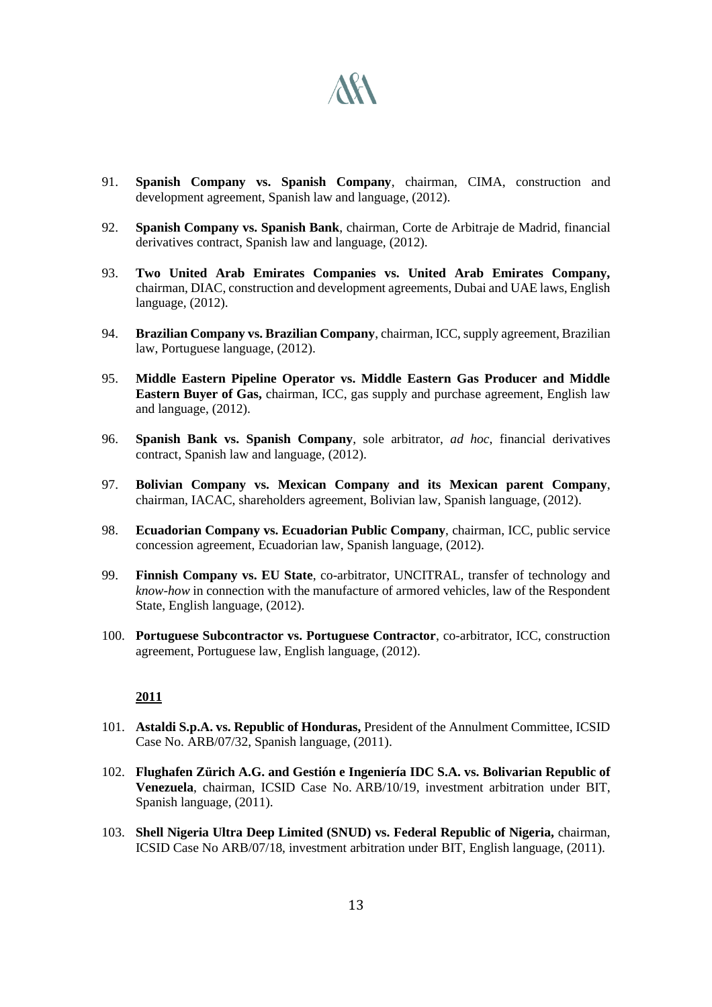# **ARA**

- 91. **Spanish Company vs. Spanish Company**, chairman, CIMA, construction and development agreement, Spanish law and language, (2012).
- 92. **Spanish Company vs. Spanish Bank**, chairman, Corte de Arbitraje de Madrid, financial derivatives contract, Spanish law and language, (2012).
- 93. **Two United Arab Emirates Companies vs. United Arab Emirates Company,**  chairman, DIAC, construction and development agreements, Dubai and UAE laws, English language, (2012).
- 94. **Brazilian Company vs. Brazilian Company**, chairman, ICC, supply agreement, Brazilian law, Portuguese language, (2012).
- 95. **Middle Eastern Pipeline Operator vs. Middle Eastern Gas Producer and Middle Eastern Buyer of Gas,** chairman, ICC, gas supply and purchase agreement, English law and language, (2012).
- 96. **Spanish Bank vs. Spanish Company**, sole arbitrator, *ad hoc*, financial derivatives contract, Spanish law and language, (2012).
- 97. **Bolivian Company vs. Mexican Company and its Mexican parent Company**, chairman, IACAC, shareholders agreement, Bolivian law, Spanish language, (2012).
- 98. **Ecuadorian Company vs. Ecuadorian Public Company**, chairman, ICC, public service concession agreement, Ecuadorian law, Spanish language, (2012).
- 99. **Finnish Company vs. EU State**, co-arbitrator, UNCITRAL, transfer of technology and *know-how* in connection with the manufacture of armored vehicles, law of the Respondent State, English language, (2012).
- 100. **Portuguese Subcontractor vs. Portuguese Contractor**, co-arbitrator, ICC, construction agreement, Portuguese law, English language, (2012).

- 101. **Astaldi S.p.A. vs. Republic of Honduras,** President of the Annulment Committee, ICSID Case No. ARB/07/32, Spanish language, (2011).
- 102. **Flughafen Zürich A.G. and Gestión e Ingeniería IDC S.A. vs. Bolivarian Republic of Venezuela**, chairman, ICSID Case No. ARB/10/19, investment arbitration under BIT, Spanish language, (2011).
- 103. **Shell Nigeria Ultra Deep Limited (SNUD) vs. Federal Republic of Nigeria,** chairman, ICSID Case No ARB/07/18, investment arbitration under BIT, English language, (2011).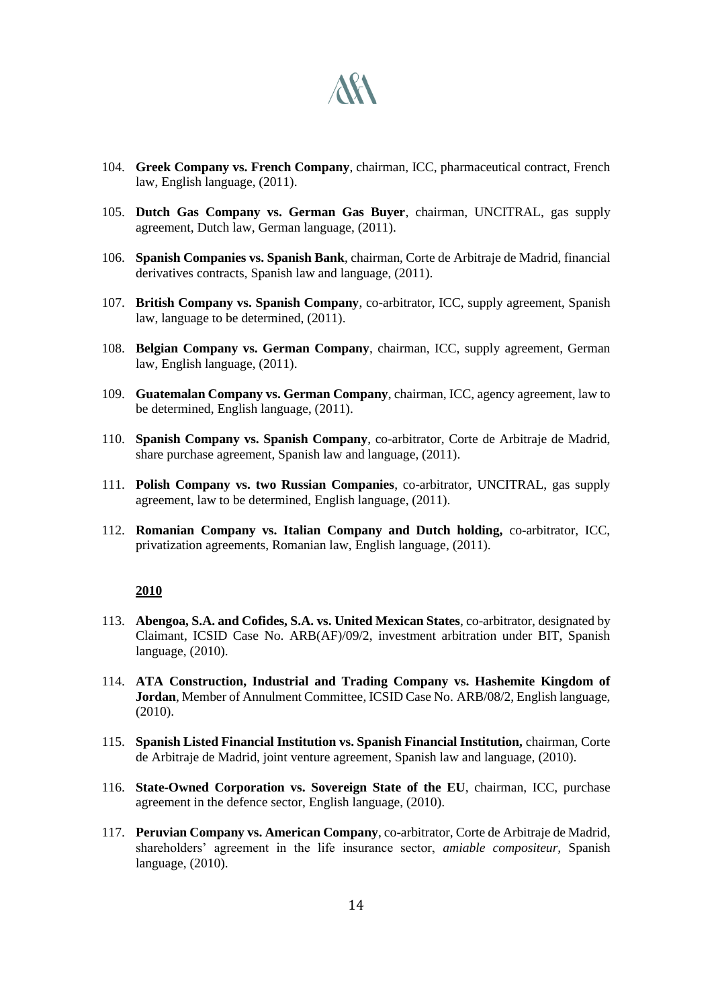

- 104. **Greek Company vs. French Company**, chairman, ICC, pharmaceutical contract, French law, English language, (2011).
- 105. **Dutch Gas Company vs. German Gas Buyer**, chairman, UNCITRAL, gas supply agreement, Dutch law, German language, (2011).
- 106. **Spanish Companies vs. Spanish Bank**, chairman, Corte de Arbitraje de Madrid, financial derivatives contracts, Spanish law and language, (2011).
- 107. **British Company vs. Spanish Company**, co-arbitrator, ICC, supply agreement, Spanish law, language to be determined, (2011).
- 108. **Belgian Company vs. German Company**, chairman, ICC, supply agreement, German law, English language, (2011).
- 109. **Guatemalan Company vs. German Company**, chairman, ICC, agency agreement, law to be determined, English language, (2011).
- 110. **Spanish Company vs. Spanish Company**, co-arbitrator, Corte de Arbitraje de Madrid, share purchase agreement, Spanish law and language, (2011).
- 111. **Polish Company vs. two Russian Companies**, co-arbitrator, UNCITRAL, gas supply agreement, law to be determined, English language, (2011).
- 112. **Romanian Company vs. Italian Company and Dutch holding,** co-arbitrator, ICC, privatization agreements, Romanian law, English language, (2011).

- 113. **Abengoa, S.A. and Cofides, S.A. vs. United Mexican States**, co-arbitrator, designated by Claimant, ICSID Case No. ARB(AF)/09/2, investment arbitration under BIT, Spanish language, (2010).
- 114. **ATA Construction, Industrial and Trading Company vs. Hashemite Kingdom of Jordan**, Member of Annulment Committee, ICSID Case No. ARB/08/2, English language, (2010).
- 115. **Spanish Listed Financial Institution vs. Spanish Financial Institution,** chairman, Corte de Arbitraje de Madrid, joint venture agreement, Spanish law and language, (2010).
- 116. **State-Owned Corporation vs. Sovereign State of the EU**, chairman, ICC, purchase agreement in the defence sector, English language, (2010).
- 117. **Peruvian Company vs. American Company**, co-arbitrator, Corte de Arbitraje de Madrid, shareholders' agreement in the life insurance sector, *amiable compositeur,* Spanish language, (2010).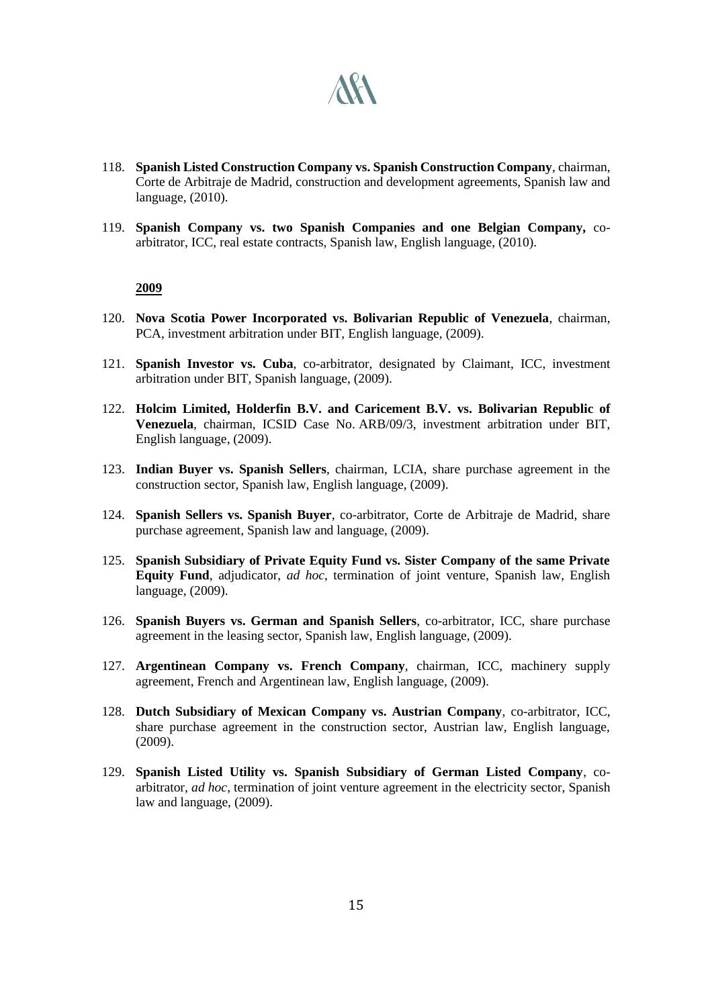

- 118. **Spanish Listed Construction Company vs. Spanish Construction Company**, chairman, Corte de Arbitraje de Madrid, construction and development agreements, Spanish law and language, (2010).
- 119. **Spanish Company vs. two Spanish Companies and one Belgian Company,** coarbitrator, ICC, real estate contracts, Spanish law, English language, (2010).

- 120. **Nova Scotia Power Incorporated vs. Bolivarian Republic of Venezuela**, chairman, PCA, investment arbitration under BIT, English language, (2009).
- 121. **Spanish Investor vs. Cuba**, co-arbitrator, designated by Claimant, ICC, investment arbitration under BIT, Spanish language, (2009).
- 122. **Holcim Limited, Holderfin B.V. and Caricement B.V. vs. Bolivarian Republic of Venezuela**, chairman, ICSID Case No. ARB/09/3, investment arbitration under BIT, English language, (2009).
- 123. **Indian Buyer vs. Spanish Sellers**, chairman, LCIA, share purchase agreement in the construction sector, Spanish law, English language, (2009).
- 124. **Spanish Sellers vs. Spanish Buyer**, co-arbitrator, Corte de Arbitraje de Madrid, share purchase agreement, Spanish law and language, (2009).
- 125. **Spanish Subsidiary of Private Equity Fund vs. Sister Company of the same Private Equity Fund**, adjudicator, *ad hoc*, termination of joint venture, Spanish law, English language, (2009).
- 126. **Spanish Buyers vs. German and Spanish Sellers**, co-arbitrator, ICC, share purchase agreement in the leasing sector, Spanish law, English language, (2009).
- 127. **Argentinean Company vs. French Company**, chairman, ICC, machinery supply agreement, French and Argentinean law, English language, (2009).
- 128. **Dutch Subsidiary of Mexican Company vs. Austrian Company**, co-arbitrator, ICC, share purchase agreement in the construction sector, Austrian law, English language, (2009).
- 129. **Spanish Listed Utility vs. Spanish Subsidiary of German Listed Company**, coarbitrator, *ad hoc*, termination of joint venture agreement in the electricity sector, Spanish law and language, (2009).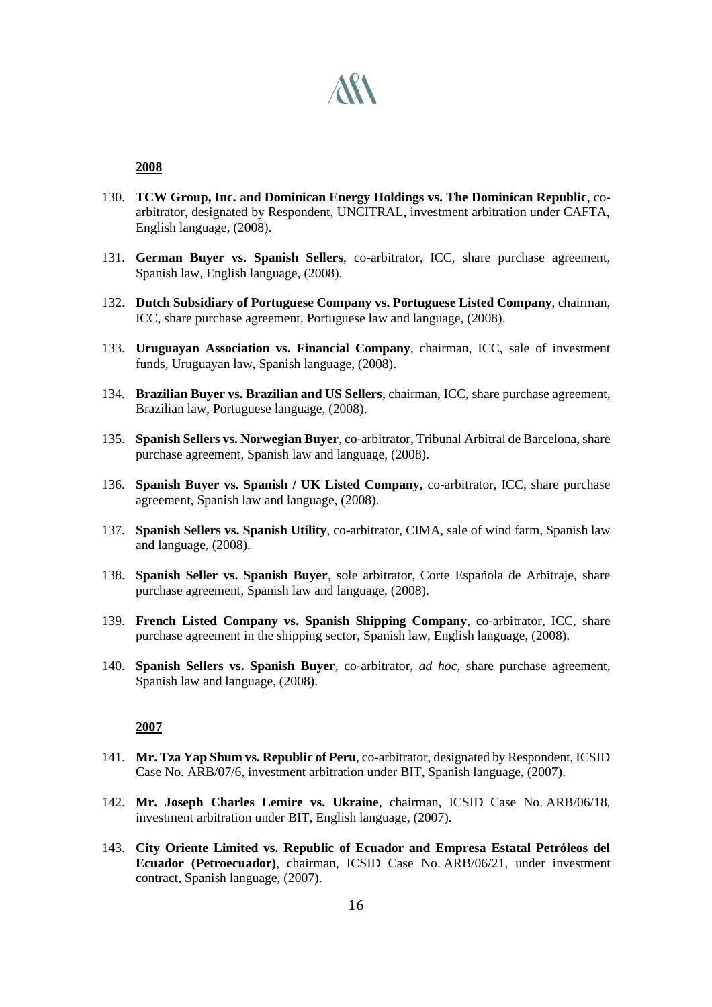

- 130. **TCW Group, Inc. and Dominican Energy Holdings vs. The Dominican Republic**, coarbitrator, designated by Respondent, UNCITRAL, investment arbitration under CAFTA, English language, (2008).
- 131. **German Buyer vs. Spanish Sellers**, co-arbitrator, ICC, share purchase agreement, Spanish law, English language, (2008).
- 132. **Dutch Subsidiary of Portuguese Company vs. Portuguese Listed Company**, chairman, ICC, share purchase agreement, Portuguese law and language, (2008).
- 133. **Uruguayan Association vs. Financial Company**, chairman, ICC, sale of investment funds, Uruguayan law, Spanish language, (2008).
- 134. **Brazilian Buyer vs. Brazilian and US Sellers**, chairman, ICC, share purchase agreement, Brazilian law, Portuguese language, (2008).
- 135. **Spanish Sellers vs. Norwegian Buyer**, co-arbitrator, Tribunal Arbitral de Barcelona, share purchase agreement, Spanish law and language, (2008).
- 136. **Spanish Buyer vs. Spanish / UK Listed Company,** co-arbitrator, ICC, share purchase agreement, Spanish law and language, (2008).
- 137. **Spanish Sellers vs. Spanish Utility**, co-arbitrator, CIMA, sale of wind farm, Spanish law and language, (2008).
- 138. **Spanish Seller vs. Spanish Buyer**, sole arbitrator, Corte Española de Arbitraje, share purchase agreement, Spanish law and language, (2008).
- 139. **French Listed Company vs. Spanish Shipping Company**, co-arbitrator, ICC, share purchase agreement in the shipping sector, Spanish law, English language, (2008).
- 140. **Spanish Sellers vs. Spanish Buyer**, co-arbitrator, *ad hoc*, share purchase agreement, Spanish law and language, (2008).

- 141. **Mr. Tza Yap Shum vs. Republic of Peru**, co-arbitrator, designated by Respondent, ICSID Case No. ARB/07/6, investment arbitration under BIT, Spanish language, (2007).
- 142. **Mr. Joseph Charles Lemire vs. Ukraine**, chairman, ICSID Case No. ARB/06/18, investment arbitration under BIT, English language, (2007).
- 143. **City Oriente Limited vs. Republic of Ecuador and Empresa Estatal Petróleos del Ecuador (Petroecuador)**, chairman, ICSID Case No. ARB/06/21, under investment contract, Spanish language, (2007).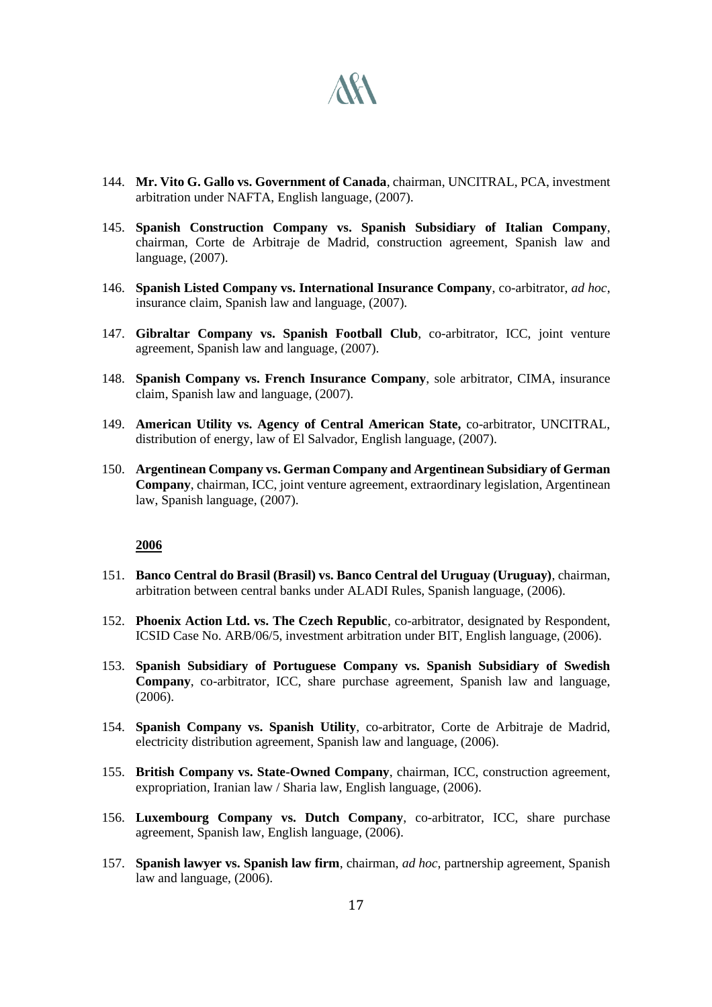

- 144. **Mr. Vito G. Gallo vs. Government of Canada**, chairman, UNCITRAL, PCA, investment arbitration under NAFTA, English language, (2007).
- 145. **Spanish Construction Company vs. Spanish Subsidiary of Italian Company**, chairman, Corte de Arbitraje de Madrid, construction agreement, Spanish law and language, (2007).
- 146. **Spanish Listed Company vs. International Insurance Company**, co-arbitrator, *ad hoc*, insurance claim, Spanish law and language, (2007).
- 147. **Gibraltar Company vs. Spanish Football Club**, co-arbitrator, ICC, joint venture agreement, Spanish law and language, (2007).
- 148. **Spanish Company vs. French Insurance Company**, sole arbitrator, CIMA, insurance claim, Spanish law and language, (2007).
- 149. **American Utility vs. Agency of Central American State,** co-arbitrator, UNCITRAL, distribution of energy, law of El Salvador, English language, (2007).
- 150. **Argentinean Company vs. German Company and Argentinean Subsidiary of German Company**, chairman, ICC, joint venture agreement, extraordinary legislation, Argentinean law, Spanish language, (2007).

- 151. **Banco Central do Brasil (Brasil) vs. Banco Central del Uruguay (Uruguay)**, chairman, arbitration between central banks under ALADI Rules, Spanish language, (2006).
- 152. **Phoenix Action Ltd. vs. The Czech Republic**, co-arbitrator, designated by Respondent, ICSID Case No. ARB/06/5, investment arbitration under BIT, English language, (2006).
- 153. **Spanish Subsidiary of Portuguese Company vs. Spanish Subsidiary of Swedish Company**, co-arbitrator, ICC, share purchase agreement, Spanish law and language, (2006).
- 154. **Spanish Company vs. Spanish Utility**, co-arbitrator, Corte de Arbitraje de Madrid, electricity distribution agreement, Spanish law and language, (2006).
- 155. **British Company vs. State-Owned Company**, chairman, ICC, construction agreement, expropriation, Iranian law / Sharia law, English language, (2006).
- 156. **Luxembourg Company vs. Dutch Company**, co-arbitrator, ICC, share purchase agreement, Spanish law, English language, (2006).
- 157. **Spanish lawyer vs. Spanish law firm**, chairman, *ad hoc*, partnership agreement, Spanish law and language, (2006).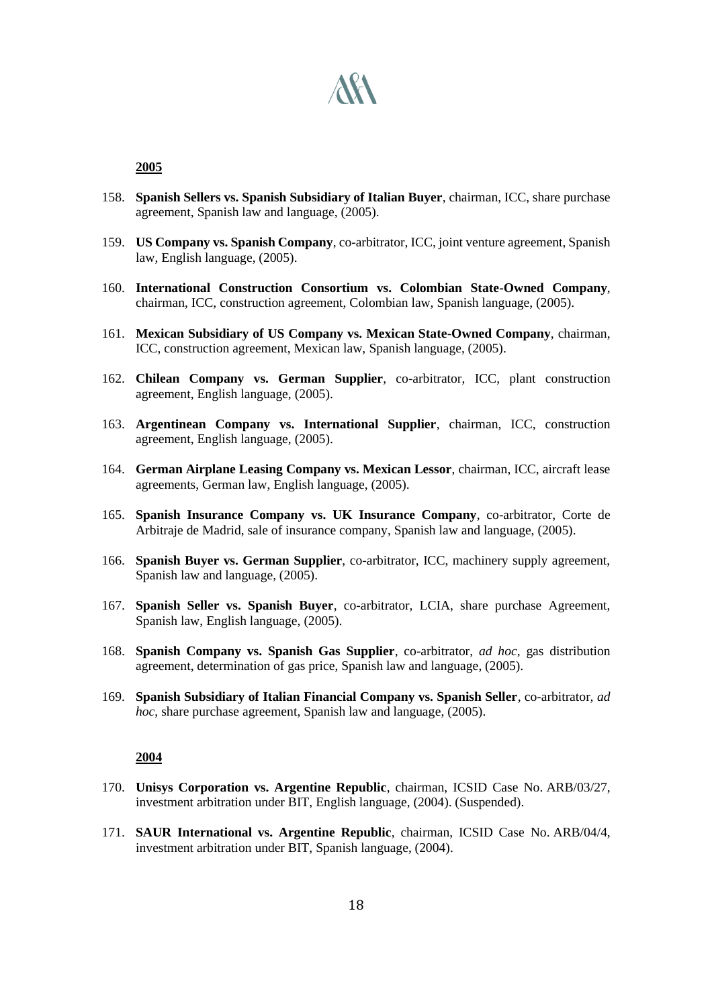

- 158. **Spanish Sellers vs. Spanish Subsidiary of Italian Buyer**, chairman, ICC, share purchase agreement, Spanish law and language, (2005).
- 159. **US Company vs. Spanish Company**, co-arbitrator, ICC, joint venture agreement, Spanish law, English language, (2005).
- 160. **International Construction Consortium vs. Colombian State-Owned Company**, chairman, ICC, construction agreement, Colombian law, Spanish language, (2005).
- 161. **Mexican Subsidiary of US Company vs. Mexican State-Owned Company**, chairman, ICC, construction agreement, Mexican law, Spanish language, (2005).
- 162. **Chilean Company vs. German Supplier**, co-arbitrator, ICC, plant construction agreement, English language, (2005).
- 163. **Argentinean Company vs. International Supplier**, chairman, ICC, construction agreement, English language, (2005).
- 164. **German Airplane Leasing Company vs. Mexican Lessor**, chairman, ICC, aircraft lease agreements, German law, English language, (2005).
- 165. **Spanish Insurance Company vs. UK Insurance Company**, co-arbitrator, Corte de Arbitraje de Madrid, sale of insurance company, Spanish law and language, (2005).
- 166. **Spanish Buyer vs. German Supplier**, co-arbitrator, ICC, machinery supply agreement, Spanish law and language, (2005).
- 167. **Spanish Seller vs. Spanish Buyer**, co-arbitrator, LCIA, share purchase Agreement, Spanish law, English language, (2005).
- 168. **Spanish Company vs. Spanish Gas Supplier**, co-arbitrator, *ad hoc*, gas distribution agreement, determination of gas price, Spanish law and language, (2005).
- 169. **Spanish Subsidiary of Italian Financial Company vs. Spanish Seller**, co-arbitrator, *ad hoc*, share purchase agreement, Spanish law and language, (2005).

- 170. **Unisys Corporation vs. Argentine Republic**, chairman, ICSID Case No. ARB/03/27, investment arbitration under BIT, English language, (2004). (Suspended).
- 171. **SAUR International vs. Argentine Republic**, chairman, ICSID Case No. ARB/04/4, investment arbitration under BIT, Spanish language, (2004).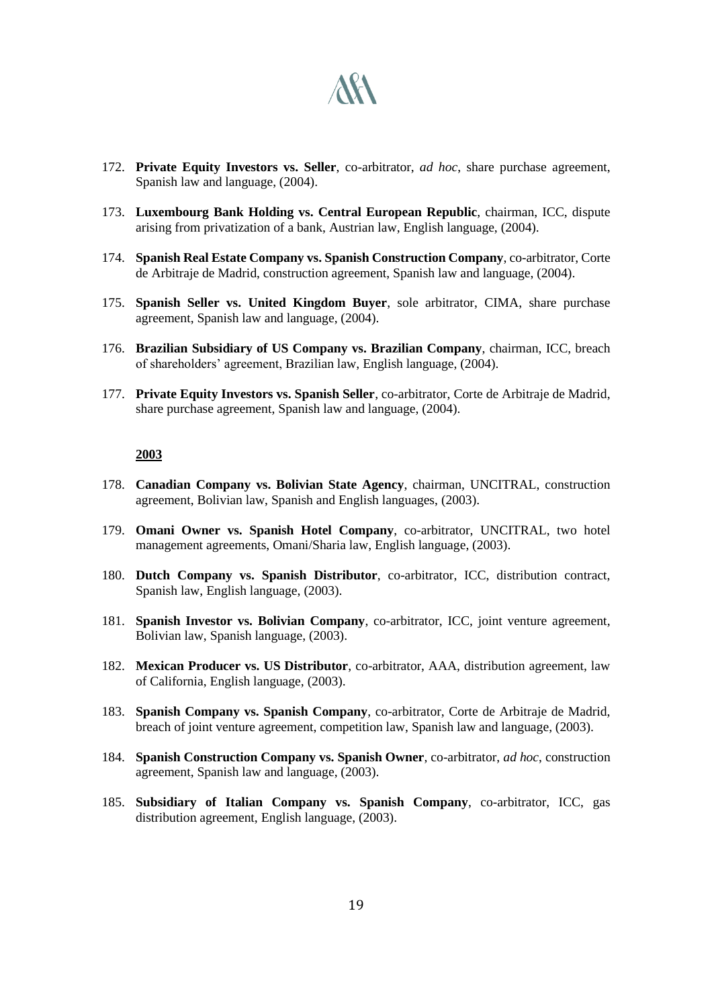

- 172. **Private Equity Investors vs. Seller**, co-arbitrator, *ad hoc*, share purchase agreement, Spanish law and language, (2004).
- 173. **Luxembourg Bank Holding vs. Central European Republic**, chairman, ICC, dispute arising from privatization of a bank, Austrian law, English language, (2004).
- 174. **Spanish Real Estate Company vs. Spanish Construction Company**, co-arbitrator, Corte de Arbitraje de Madrid, construction agreement, Spanish law and language, (2004).
- 175. **Spanish Seller vs. United Kingdom Buyer**, sole arbitrator, CIMA, share purchase agreement, Spanish law and language, (2004).
- 176. **Brazilian Subsidiary of US Company vs. Brazilian Company**, chairman, ICC, breach of shareholders' agreement, Brazilian law, English language, (2004).
- 177. **Private Equity Investors vs. Spanish Seller**, co-arbitrator, Corte de Arbitraje de Madrid, share purchase agreement, Spanish law and language, (2004).

- 178. **Canadian Company vs. Bolivian State Agency**, chairman, UNCITRAL, construction agreement, Bolivian law, Spanish and English languages, (2003).
- 179. **Omani Owner vs. Spanish Hotel Company**, co-arbitrator, UNCITRAL, two hotel management agreements, Omani/Sharia law, English language, (2003).
- 180. **Dutch Company vs. Spanish Distributor**, co-arbitrator, ICC, distribution contract, Spanish law, English language, (2003).
- 181. **Spanish Investor vs. Bolivian Company**, co-arbitrator, ICC, joint venture agreement, Bolivian law, Spanish language, (2003).
- 182. **Mexican Producer vs. US Distributor**, co-arbitrator, AAA, distribution agreement, law of California, English language, (2003).
- 183. **Spanish Company vs. Spanish Company**, co-arbitrator, Corte de Arbitraje de Madrid, breach of joint venture agreement, competition law, Spanish law and language, (2003).
- 184. **Spanish Construction Company vs. Spanish Owner**, co-arbitrator, *ad hoc*, construction agreement, Spanish law and language, (2003).
- 185. **Subsidiary of Italian Company vs. Spanish Company**, co-arbitrator, ICC, gas distribution agreement, English language, (2003).